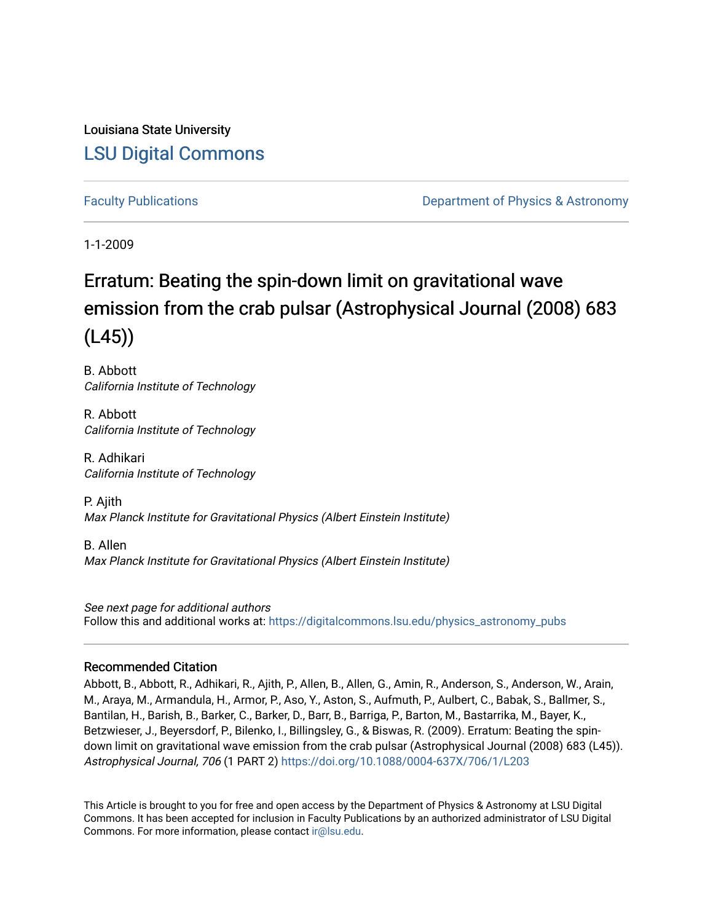Louisiana State University [LSU Digital Commons](https://digitalcommons.lsu.edu/)

[Faculty Publications](https://digitalcommons.lsu.edu/physics_astronomy_pubs) **Example 2** Constant Department of Physics & Astronomy

1-1-2009

# Erratum: Beating the spin-down limit on gravitational wave emission from the crab pulsar (Astrophysical Journal (2008) 683 (L45))

B. Abbott California Institute of Technology

R. Abbott California Institute of Technology

R. Adhikari California Institute of Technology

P. Ajith Max Planck Institute for Gravitational Physics (Albert Einstein Institute)

B. Allen Max Planck Institute for Gravitational Physics (Albert Einstein Institute)

See next page for additional authors Follow this and additional works at: [https://digitalcommons.lsu.edu/physics\\_astronomy\\_pubs](https://digitalcommons.lsu.edu/physics_astronomy_pubs?utm_source=digitalcommons.lsu.edu%2Fphysics_astronomy_pubs%2F1180&utm_medium=PDF&utm_campaign=PDFCoverPages) 

## Recommended Citation

Abbott, B., Abbott, R., Adhikari, R., Ajith, P., Allen, B., Allen, G., Amin, R., Anderson, S., Anderson, W., Arain, M., Araya, M., Armandula, H., Armor, P., Aso, Y., Aston, S., Aufmuth, P., Aulbert, C., Babak, S., Ballmer, S., Bantilan, H., Barish, B., Barker, C., Barker, D., Barr, B., Barriga, P., Barton, M., Bastarrika, M., Bayer, K., Betzwieser, J., Beyersdorf, P., Bilenko, I., Billingsley, G., & Biswas, R. (2009). Erratum: Beating the spindown limit on gravitational wave emission from the crab pulsar (Astrophysical Journal (2008) 683 (L45)). Astrophysical Journal, 706 (1 PART 2) <https://doi.org/10.1088/0004-637X/706/1/L203>

This Article is brought to you for free and open access by the Department of Physics & Astronomy at LSU Digital Commons. It has been accepted for inclusion in Faculty Publications by an authorized administrator of LSU Digital Commons. For more information, please contact [ir@lsu.edu](mailto:ir@lsu.edu).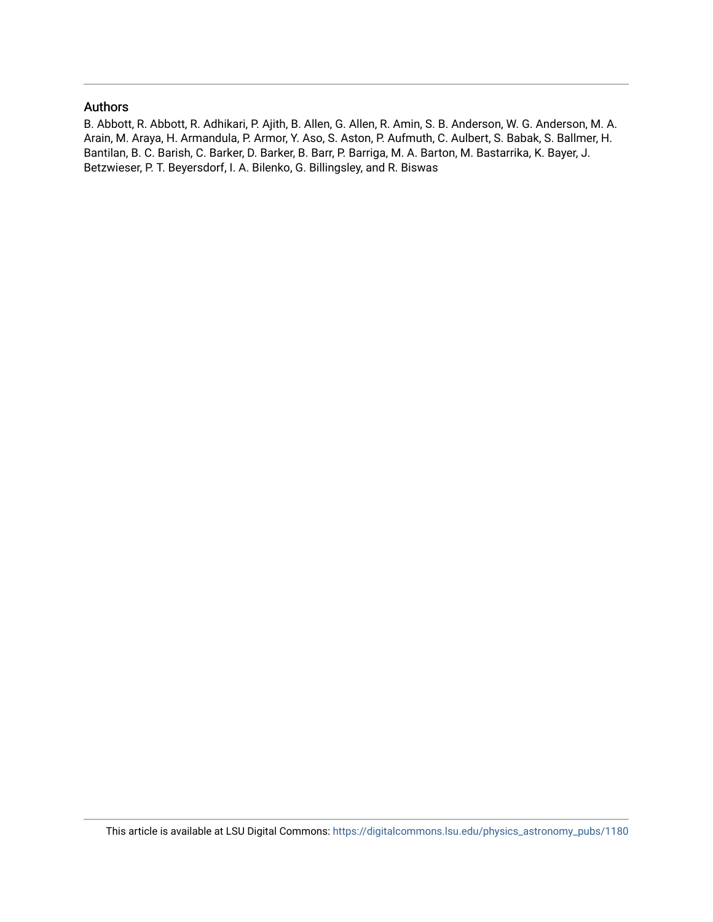## Authors

B. Abbott, R. Abbott, R. Adhikari, P. Ajith, B. Allen, G. Allen, R. Amin, S. B. Anderson, W. G. Anderson, M. A. Arain, M. Araya, H. Armandula, P. Armor, Y. Aso, S. Aston, P. Aufmuth, C. Aulbert, S. Babak, S. Ballmer, H. Bantilan, B. C. Barish, C. Barker, D. Barker, B. Barr, P. Barriga, M. A. Barton, M. Bastarrika, K. Bayer, J. Betzwieser, P. T. Beyersdorf, I. A. Bilenko, G. Billingsley, and R. Biswas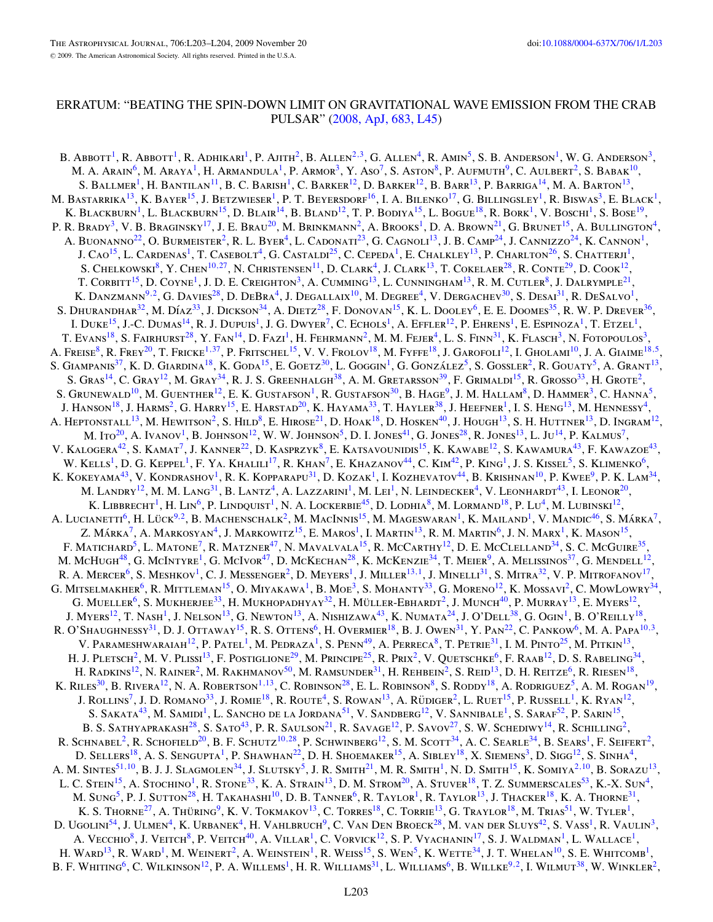#### ERRATUM: "BEATING THE SPIN-DOWN LIMIT ON GRAVITATIONAL WAVE EMISSION FROM THE CRAB PULSAR" [\(2008, ApJ, 683, L45\)](http://dx.doi.org/10.1086/591526)

B. Abbott<sup>1</sup>, R. Abbott<sup>1</sup>, R. Adhikari<sup>1</sup>, P. Ajith<sup>2</sup>, B. Allen<sup>2,3</sup>, G. Allen<sup>4</sup>, R. Amin<sup>5</sup>, S. B. Anderson<sup>1</sup>, W. G. Anderson<sup>3</sup>, M. A. ARAIN<sup>6</sup>, M. ARAYA<sup>1</sup>, H. ARMANDULA<sup>1</sup>, P. ARMOR<sup>3</sup>, Y. Aso<sup>7</sup>, S. Aston<sup>8</sup>, P. Aufmuth<sup>9</sup>, C. Aulbert<sup>2</sup>, S. Babak<sup>10</sup>, S. BALLMER<sup>1</sup>, H. BANTILAN<sup>11</sup>, B. C. BARISH<sup>1</sup>, C. BARKER<sup>12</sup>, D. BARKER<sup>12</sup>, B. BARR<sup>13</sup>, P. BARRIGA<sup>14</sup>, M. A. BARTON<sup>13</sup>, M. BASTARRIKA<sup>13</sup>, K. BAYER<sup>15</sup>, J. BETZWIESER<sup>1</sup>, P. T. BEYERSDORF<sup>16</sup>, I. A. BILENKO<sup>17</sup>, G. BILLINGSLEY<sup>1</sup>, R. BISWAS<sup>3</sup>, E. BLACK<sup>1</sup>, K. BLACKBURN<sup>1</sup>, L. BLACKBURN<sup>15</sup>, D. BLAIR<sup>14</sup>, B. BLAND<sup>12</sup>, T. P. BODIYA<sup>15</sup>, L. BOGUE<sup>18</sup>, R. BORK<sup>1</sup>, V. BOSCHI<sup>1</sup>, S. BOSE<sup>19</sup>, P. R. Brady<sup>3</sup>, V. B. Braginsky<sup>17</sup>, J. E. Brau<sup>20</sup>, M. Brinkmann<sup>2</sup>, A. Brooks<sup>1</sup>, D. A. Brown<sup>21</sup>, G. Brunet<sup>15</sup>, A. Bullington<sup>4</sup>, A. BUONANNO<sup>22</sup>, O. BURMEISTER<sup>2</sup>, R. L. BYER<sup>4</sup>, L. CADONATI<sup>23</sup>, G. CAGNOLI<sup>13</sup>, J. B. CAMP<sup>24</sup>, J. CANNIZZO<sup>24</sup>, K. CANNON<sup>1</sup>, J. Cao<sup>15</sup>, L. Cardenas<sup>1</sup>, T. Casebolt<sup>4</sup>, G. Castaldi<sup>25</sup>, C. Cepeda<sup>1</sup>, E. Chalkley<sup>13</sup>, P. Charlton<sup>26</sup>, S. Chatterji<sup>1</sup>, S. CHELKOWSKI<sup>8</sup>, Y. CHEN<sup>10,27</sup>, N. CHRISTENSEN<sup>11</sup>, D. CLARK<sup>4</sup>, J. CLARK<sup>13</sup>, T. COKELAER<sup>28</sup>, R. CONTE<sup>29</sup>, D. COOK<sup>12</sup>, T. CORBITT<sup>15</sup>, D. COYNE<sup>1</sup>, J. D. E. CREIGHTON<sup>3</sup>, A. CUMMING<sup>13</sup>, L. CUNNINGHAM<sup>13</sup>, R. M. CUTLER<sup>8</sup>, J. DALRYMPLE<sup>21</sup>, K. Danzmann<sup>9,2</sup>, G. Davies<sup>28</sup>, D. DeBra<sup>4</sup>, J. Degallaix<sup>10</sup>, M. Degree<sup>4</sup>, V. Dergachev<sup>30</sup>, S. Desai<sup>31</sup>, R. DeSalvo<sup>1</sup>, S. DHURANDHAR<sup>32</sup>, M. DÍAZ<sup>33</sup>, J. DICKSON<sup>34</sup>, A. DIETZ<sup>28</sup>, F. DONOVAN<sup>15</sup>, K. L. DOOLEY<sup>6</sup>, E. E. DOOMES<sup>35</sup>, R. W. P. DREVER<sup>36</sup>, I. DUKE<sup>15</sup>, J.-C. DUMAS<sup>14</sup>, R. J. DUPUIS<sup>1</sup>, J. G. DWYER<sup>7</sup>, C. ECHOLS<sup>1</sup>, A. EFFLER<sup>12</sup>, P. EHRENS<sup>1</sup>, E. ESPINOZA<sup>1</sup>, T. ETZEL<sup>1</sup>, T. EVANS<sup>18</sup>, S. FAIRHURST<sup>28</sup>, Y. FAN<sup>14</sup>, D. FAZI<sup>1</sup>, H. FEHRMANN<sup>2</sup>, M. M. FEJER<sup>4</sup>, L. S. FINN<sup>31</sup>, K. FLASCH<sup>3</sup>, N. FOTOPOULOS<sup>3</sup> A. Freise<sup>8</sup>, R. Frey<sup>20</sup>, T. Fricke<sup>1,37</sup>, P. Fritschel<sup>15</sup>, V. V. Frolov<sup>18</sup>, M. Fyffe<sup>18</sup>, J. Garofoli<sup>12</sup>, I. Gholami<sup>10</sup>, J. A. Giaime<sup>18,5</sup> S. GIAMPANIS<sup>37</sup>, K. D. GIARDINA<sup>18</sup>, K. GODA<sup>15</sup>, E. GOETZ<sup>30</sup>, L. GOGGIN<sup>1</sup>, G. GONZÁLEZ<sup>5</sup>, S. GOSSLER<sup>2</sup>, R. GOUATY<sup>5</sup>, A. GRANT<sup>13</sup>, S. Gras<sup>14</sup>, C. Gray<sup>12</sup>, M. Gray<sup>34</sup>, R. J. S. Greenhalgh<sup>38</sup>, A. M. Gretarsson<sup>39</sup>, F. Grimaldi<sup>15</sup>, R. Grosso<sup>33</sup>, H. Grote<sup>2</sup>, S. Grunewald<sup>10</sup>, M. Guenther<sup>12</sup>, E. K. Gustafson<sup>1</sup>, R. Gustafson<sup>30</sup>, B. Hage<sup>9</sup>, J. M. Hallam<sup>8</sup>, D. Hammer<sup>3</sup>, C. Hanna<sup>5</sup>, J. Hanson<sup>18</sup>, J. Harms<sup>2</sup>, G. Harry<sup>15</sup>, E. Harstad<sup>20</sup>, K. Hayama<sup>33</sup>, T. Hayler<sup>38</sup>, J. Heefner<sup>1</sup>, I. S. Heng<sup>13</sup>, M. Hennessy<sup>4</sup>, A. HEPTONSTALL<sup>13</sup>, M. HEWITSON<sup>2</sup>, S. HILD<sup>8</sup>, E. HIROSE<sup>21</sup>, D. HOAK<sup>18</sup>, D. HOSKEN<sup>40</sup>, J. HOUGH<sup>13</sup>, S. H. HUTTNER<sup>13</sup>, D. INGRAM<sup>12</sup>, M. Ito<sup>20</sup>, A. Ivanov<sup>1</sup>, B. Johnson<sup>12</sup>, W. W. Johnson<sup>5</sup>, D. I. Jones<sup>41</sup>, G. Jones<sup>28</sup>, R. Jones<sup>13</sup>, L. Ju<sup>14</sup>, P. Kalmus<sup>7</sup>, V. KALOGERA<sup>42</sup>, S. KAMAT<sup>7</sup>, J. KANNER<sup>22</sup>, D. KASPRZYK<sup>8</sup>, E. KATSAVOUNIDIS<sup>15</sup>, K. KAWABE<sup>12</sup>, S. KAWAMURA<sup>43</sup>, F. KAWAZOE<sup>43</sup>, W. Kells<sup>1</sup>, D. G. Keppel<sup>1</sup>, F. Ya. Khalili<sup>17</sup>, R. Khan<sup>7</sup>, E. Khazanov<sup>44</sup>, C. Kim<sup>42</sup>, P. King<sup>1</sup>, J. S. Kissel<sup>5</sup>, S. Klimenko<sup>6</sup>, K. KOKEYAMA<sup>43</sup>, V. KONDRASHOV<sup>1</sup>, R. K. KOPPARAPU<sup>31</sup>, D. KOZAK<sup>1</sup>, I. KOZHEVATOV<sup>44</sup>, B. KRISHNAN<sup>10</sup>, P. KWEE<sup>9</sup>, P. K. LAM<sup>34</sup>, M. LANDRY<sup>12</sup>, M. M. LANG<sup>31</sup>, B. LANTZ<sup>4</sup>, A. LAZZARINI<sup>1</sup>, M. LEI<sup>1</sup>, N. LEINDECKER<sup>4</sup>, V. LEONHARDT<sup>43</sup>, I. LEONOR<sup>20</sup>, K. LIBBRECHT<sup>1</sup>, H. LIN<sup>6</sup>, P. LINDQUIST<sup>1</sup>, N. A. LOCKERBIE<sup>45</sup>, D. LODHIA<sup>8</sup>, M. LORMAND<sup>18</sup>, P. LU<sup>4</sup>, M. LUBINSKI<sup>12</sup>, A. Lucianetti<sup>6</sup>, H. Lück<sup>9,2</sup>, B. Machenschalk<sup>2</sup>, M. MacInnis<sup>15</sup>, M. Mageswaran<sup>1</sup>, K. Mailand<sup>1</sup>, V. Mandic<sup>46</sup>, S. Márka<sup>7</sup>, Z. Márka<sup>7</sup>, A. Markosyan<sup>4</sup>, J. Markowitz<sup>15</sup>, E. Maros<sup>1</sup>, I. Martin<sup>13</sup>, R. M. Martin<sup>6</sup>, J. N. Marx<sup>1</sup>, K. Mason<sup>15</sup>, F. MATICHARD<sup>5</sup>, L. MATONE<sup>7</sup>, R. MATZNER<sup>47</sup>, N. MAVALVALA<sup>15</sup>, R. McCarthy<sup>12</sup>, D. E. McClelland<sup>34</sup>, S. C. McGuire<sup>35</sup>, M. McHugh<sup>48</sup>, G. McIntyre<sup>1</sup>, G. McIvor<sup>47</sup>, D. McKechan<sup>28</sup>, K. McKenzie<sup>34</sup>, T. Meier<sup>9</sup>, A. Melissinos<sup>37</sup>, G. Mendell<sup>12</sup>, R. A. Mercer<sup>6</sup>, S. Meshkov<sup>1</sup>, C. J. Messenger<sup>2</sup>, D. Meyers<sup>1</sup>, J. Miller<sup>13,1</sup>, J. Minelli<sup>31</sup>, S. Mitra<sup>32</sup>, V. P. Mitrofanov<sup>17</sup>, G. MITSELMAKHER<sup>6</sup>, R. MITTLEMAN<sup>15</sup>, O. MIYAKAWA<sup>1</sup>, B. Moe<sup>3</sup>, S. Mohanty<sup>33</sup>, G. Moreno<sup>12</sup>, K. Mossavi<sup>2</sup>, C. MowLowry<sup>34</sup>, G. MUELLER<sup>6</sup>, S. MUKHERJEE<sup>33</sup>, H. MUKHOPADHYAY<sup>32</sup>, H. MÜLLER-EBHARDT<sup>2</sup>, J. MUNCH<sup>40</sup>, P. MURRAY<sup>13</sup>, E. MYERS<sup>12</sup>, J. Myers<sup>12</sup>, T. Nash<sup>1</sup>, J. Nelson<sup>13</sup>, G. Newton<sup>13</sup>, A. Nishizawa<sup>43</sup>, K. Numata<sup>24</sup>, J. O'Dell<sup>38</sup>, G. Ogin<sup>1</sup>, B. O'Reilly<sup>18</sup>, R. O'SHAUGHNESSY<sup>31</sup>, D. J. OTTAWAY<sup>15</sup>, R. S. OTTENS<sup>6</sup>, H. OVERMIER<sup>18</sup>, B. J. OWEN<sup>31</sup>, Y. PAN<sup>22</sup>, C. PANKOW<sup>6</sup>, M. A. PAPA<sup>10,3</sup>, V. Parameshwaraiah<sup>12</sup>, P. Patel<sup>1</sup>, M. Pedraza<sup>1</sup>, S. Penn<sup>49</sup>, A. Perreca<sup>8</sup>, T. Petrie<sup>31</sup>, I. M. Pinto<sup>25</sup>, M. Pitkin<sup>13</sup>, H. J. PLETSCH<sup>2</sup>, M. V. PLISSI<sup>13</sup>, F. POSTIGLIONE<sup>29</sup>, M. PRINCIPE<sup>25</sup>, R. PRIX<sup>2</sup>, V. QUETSCHKE<sup>6</sup>, F. RAAB<sup>12</sup>, D. S. RABELING<sup>34</sup>, H. RADKINS<sup>12</sup>, N. RAINER<sup>2</sup>, M. RAKHMANOV<sup>50</sup>, M. RAMSUNDER<sup>31</sup>, H. REHBEIN<sup>2</sup>, S. REID<sup>13</sup>, D. H. REITZE<sup>6</sup>, R. RIESEN<sup>18</sup>, K. RILES<sup>30</sup>, B. RIVERA<sup>12</sup>, N. A. ROBERTSON<sup>1, 13</sup>, C. ROBINSON<sup>28</sup>, E. L. ROBINSON<sup>8</sup>, S. RODDY<sup>18</sup>, A. RODRIGUEZ<sup>5</sup>, A. M. ROGAN<sup>19</sup>, J. ROLLINS<sup>7</sup>, J. D. ROMANO<sup>33</sup>, J. ROMIE<sup>18</sup>, R. ROUTE<sup>4</sup>, S. ROWAN<sup>13</sup>, A. RÜDIGER<sup>2</sup>, L. RUET<sup>15</sup>, P. RUSSELL<sup>1</sup>, K. RYAN<sup>12</sup>, S. SAKATA<sup>43</sup>, M. SAMIDI<sup>1</sup>, L. SANCHO DE LA JORDANA<sup>51</sup>, V. SANDBERG<sup>12</sup>, V. SANNIBALE<sup>1</sup>, S. SARAF<sup>52</sup>, P. SARIN<sup>15</sup>, B. S. SATHYAPRAKASH<sup>28</sup>, S. SATO<sup>43</sup>, P. R. SAULSON<sup>21</sup>, R. SAVAGE<sup>12</sup>, P. SAVOV<sup>27</sup>, S. W. SCHEDIWY<sup>14</sup>, R. SCHILLING<sup>2</sup>, R. SCHNABEL<sup>2</sup>, R. SCHOFIELD<sup>20</sup>, B. F. SCHUTZ<sup>10,28</sup>, P. SCHWINBERG<sup>12</sup>, S. M. SCOTT<sup>34</sup>, A. C. SEARLE<sup>34</sup>, B. SEARS<sup>1</sup>, F. SEIFERT<sup>2</sup>, D. SELLERS<sup>18</sup>, A. S. SENGUPTA<sup>1</sup>, P. SHAWHAN<sup>22</sup>, D. H. SHOEMAKER<sup>15</sup>, A. SIBLEY<sup>18</sup>, X. SIEMENS<sup>3</sup>, D. SIGG<sup>12</sup>, S. SINHA<sup>4</sup>, A. M. SINTES<sup>51,10</sup>, B. J. J. SLAGMOLEN<sup>34</sup>, J. SLUTSKY<sup>5</sup>, J. R. SMITH<sup>21</sup>, M. R. SMITH<sup>1</sup>, N. D. SMITH<sup>15</sup>, K. SOMIYA<sup>2,10</sup>, B. SORAZU<sup>13</sup>, L. C. STEIN<sup>15</sup>, A. STOCHINO<sup>1</sup>, R. STONE<sup>33</sup>, K. A. STRAIN<sup>13</sup>, D. M. STROM<sup>20</sup>, A. STUVER<sup>18</sup>, T. Z. SUMMERSCALES<sup>53</sup>, K.-X. SUN<sup>4</sup>, M. SUNG<sup>5</sup>, P. J. SUTTON<sup>28</sup>, H. TAKAHASHI<sup>10</sup>, D. B. TANNER<sup>6</sup>, R. TAYLOR<sup>1</sup>, R. TAYLOR<sup>13</sup>, J. THACKER<sup>18</sup>, K. A. THORNE<sup>31</sup>, K. S. Thorne<sup>27</sup>, A. Thüring<sup>9</sup>, K. V. Tokmakov<sup>13</sup>, C. Torres<sup>18</sup>, C. Torrie<sup>13</sup>, G. Traylor<sup>18</sup>, M. Trias<sup>51</sup>, W. Tyler<sup>1</sup>, D. Ugolini<sup>54</sup>, J. Ulmen<sup>4</sup>, K. Urbanek<sup>4</sup>, H. Vahlbruch<sup>9</sup>, C. Van Den Broeck<sup>28</sup>, M. van der Sluys<sup>42</sup>, S. Vass<sup>1</sup>, R. Vaulin<sup>3</sup>, A. Vecchio<sup>8</sup>, J. Veitch<sup>8</sup>, P. Veitch<sup>40</sup>, A. Villar<sup>1</sup>, C. Vorvick<sup>12</sup>, S. P. Vyachanin<sup>17</sup>, S. J. Waldman<sup>1</sup>, L. Wallace<sup>1</sup>, H. WARD<sup>13</sup>, R. WARD<sup>1</sup>, M. WEINERT<sup>2</sup>, A. WEINSTEIN<sup>1</sup>, R. WEISS<sup>15</sup>, S. WEN<sup>5</sup>, K. WETTE<sup>34</sup>, J. T. WHELAN<sup>10</sup>, S. E. WHITCOMB<sup>1</sup>, B. F. Whiting<sup>6</sup>, C. Wilkinson<sup>12</sup>, P. A. Willems<sup>1</sup>, H. R. Williams<sup>31</sup>, L. Williams<sup>6</sup>, B. Willke<sup>9,2</sup>, I. Wilmut<sup>38</sup>, W. Winkler<sup>2</sup>,